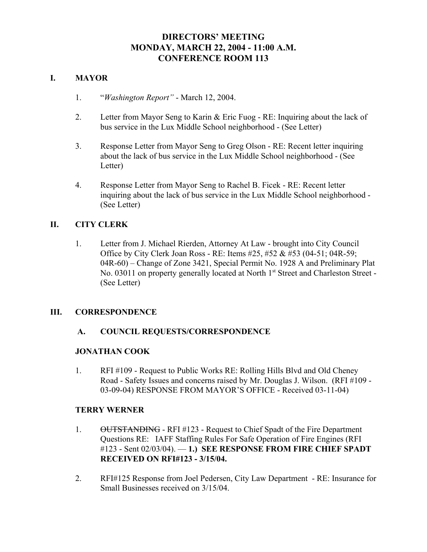# **DIRECTORS' MEETING MONDAY, MARCH 22, 2004 - 11:00 A.M. CONFERENCE ROOM 113**

# **I. MAYOR**

- 1. "*Washington Report"* March 12, 2004.
- 2. Letter from Mayor Seng to Karin & Eric Fuog RE: Inquiring about the lack of bus service in the Lux Middle School neighborhood - (See Letter)
- 3. Response Letter from Mayor Seng to Greg Olson RE: Recent letter inquiring about the lack of bus service in the Lux Middle School neighborhood - (See Letter)
- 4. Response Letter from Mayor Seng to Rachel B. Ficek RE: Recent letter inquiring about the lack of bus service in the Lux Middle School neighborhood - (See Letter)

# **II. CITY CLERK**

1. Letter from J. Michael Rierden, Attorney At Law - brought into City Council Office by City Clerk Joan Ross - RE: Items #25, #52 & #53 (04-51; 04R-59; 04R-60) – Change of Zone 3421, Special Permit No. 1928 A and Preliminary Plat No. 03011 on property generally located at North 1<sup>st</sup> Street and Charleston Street -(See Letter)

# **III. CORRESPONDENCE**

# **A. COUNCIL REQUESTS/CORRESPONDENCE**

# **JONATHAN COOK**

1. RFI #109 - Request to Public Works RE: Rolling Hills Blvd and Old Cheney Road - Safety Issues and concerns raised by Mr. Douglas J. Wilson. (RFI #109 - 03-09-04) RESPONSE FROM MAYOR'S OFFICE - Received 03-11-04)

#### **TERRY WERNER**

- 1. OUTSTANDING RFI #123 Request to Chief Spadt of the Fire Department Questions RE: IAFF Staffing Rules For Safe Operation of Fire Engines (RFI #123 - Sent 02/03/04). — **1.) SEE RESPONSE FROM FIRE CHIEF SPADT RECEIVED ON RFI#123 - 3/15/04.**
- 2. RFI#125 Response from Joel Pedersen, City Law Department RE: Insurance for Small Businesses received on 3/15/04.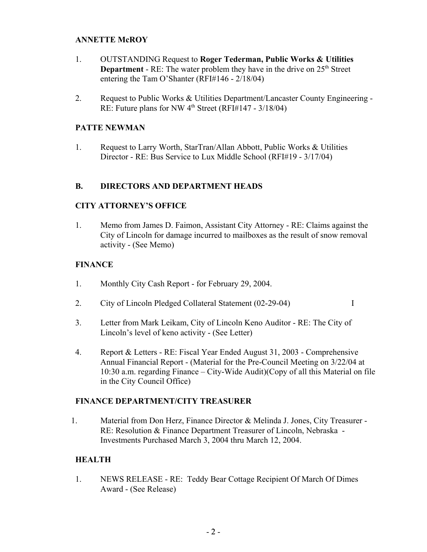## **ANNETTE McROY**

- 1. OUTSTANDING Request to **Roger Tederman, Public Works & Utilities Department** - RE: The water problem they have in the drive on 25<sup>th</sup> Street entering the Tam O'Shanter (RFI#146 - 2/18/04)
- 2. Request to Public Works & Utilities Department/Lancaster County Engineering RE: Future plans for NW  $4<sup>th</sup>$  Street (RFI#147 - 3/18/04)

## **PATTE NEWMAN**

1. Request to Larry Worth, StarTran/Allan Abbott, Public Works & Utilities Director - RE: Bus Service to Lux Middle School (RFI#19 - 3/17/04)

## **B. DIRECTORS AND DEPARTMENT HEADS**

## **CITY ATTORNEY'S OFFICE**

1. Memo from James D. Faimon, Assistant City Attorney - RE: Claims against the City of Lincoln for damage incurred to mailboxes as the result of snow removal activity - (See Memo)

## **FINANCE**

- 1. Monthly City Cash Report for February 29, 2004.
- 2. City of Lincoln Pledged Collateral Statement (02-29-04) I
- 3. Letter from Mark Leikam, City of Lincoln Keno Auditor RE: The City of Lincoln's level of keno activity - (See Letter)
- 4. Report & Letters RE: Fiscal Year Ended August 31, 2003 Comprehensive Annual Financial Report - (Material for the Pre-Council Meeting on 3/22/04 at 10:30 a.m. regarding Finance – City-Wide Audit)(Copy of all this Material on file in the City Council Office)

#### **FINANCE DEPARTMENT/CITY TREASURER**

1. Material from Don Herz, Finance Director & Melinda J. Jones, City Treasurer - RE: Resolution & Finance Department Treasurer of Lincoln, Nebraska - Investments Purchased March 3, 2004 thru March 12, 2004.

# **HEALTH**

1. NEWS RELEASE - RE: Teddy Bear Cottage Recipient Of March Of Dimes Award - (See Release)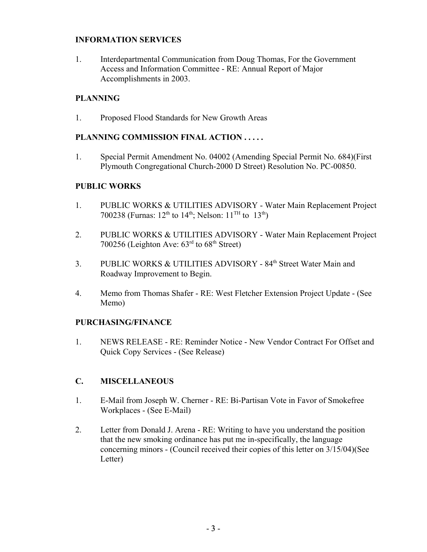# **INFORMATION SERVICES**

1. Interdepartmental Communication from Doug Thomas, For the Government Access and Information Committee - RE: Annual Report of Major Accomplishments in 2003.

# **PLANNING**

1. Proposed Flood Standards for New Growth Areas

# **PLANNING COMMISSION FINAL ACTION . . . . .**

1. Special Permit Amendment No. 04002 (Amending Special Permit No. 684)(First Plymouth Congregational Church-2000 D Street) Resolution No. PC-00850.

# **PUBLIC WORKS**

- 1. PUBLIC WORKS & UTILITIES ADVISORY Water Main Replacement Project 700238 (Furnas:  $12^{th}$  to  $14^{th}$ ; Nelson:  $11^{TH}$  to  $13^{th}$ )
- 2. PUBLIC WORKS & UTILITIES ADVISORY Water Main Replacement Project 700256 (Leighton Ave:  $63<sup>rd</sup>$  to  $68<sup>th</sup>$  Street)
- 3. PUBLIC WORKS & UTILITIES ADVISORY 84<sup>th</sup> Street Water Main and Roadway Improvement to Begin.
- 4. Memo from Thomas Shafer RE: West Fletcher Extension Project Update (See Memo)

# **PURCHASING/FINANCE**

1. NEWS RELEASE - RE: Reminder Notice - New Vendor Contract For Offset and Quick Copy Services - (See Release)

# **C. MISCELLANEOUS**

- 1. E-Mail from Joseph W. Cherner RE: Bi-Partisan Vote in Favor of Smokefree Workplaces - (See E-Mail)
- 2. Letter from Donald J. Arena RE: Writing to have you understand the position that the new smoking ordinance has put me in-specifically, the language concerning minors - (Council received their copies of this letter on 3/15/04)(See Letter)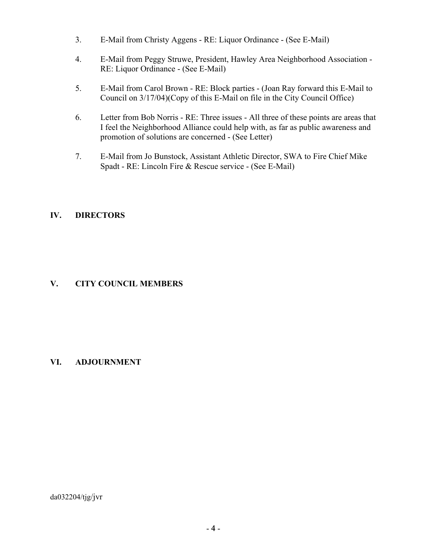- 3. E-Mail from Christy Aggens RE: Liquor Ordinance (See E-Mail)
- 4. E-Mail from Peggy Struwe, President, Hawley Area Neighborhood Association RE: Liquor Ordinance - (See E-Mail)
- 5. E-Mail from Carol Brown RE: Block parties (Joan Ray forward this E-Mail to Council on 3/17/04)(Copy of this E-Mail on file in the City Council Office)
- 6. Letter from Bob Norris RE: Three issues All three of these points are areas that I feel the Neighborhood Alliance could help with, as far as public awareness and promotion of solutions are concerned - (See Letter)
- 7. E-Mail from Jo Bunstock, Assistant Athletic Director, SWA to Fire Chief Mike Spadt - RE: Lincoln Fire & Rescue service - (See E-Mail)

# **IV. DIRECTORS**

# **V. CITY COUNCIL MEMBERS**

# **VI. ADJOURNMENT**

da032204/tjg/jvr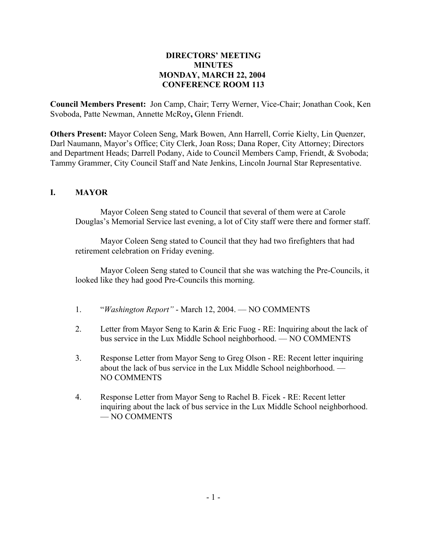# **DIRECTORS' MEETING MINUTES MONDAY, MARCH 22, 2004 CONFERENCE ROOM 113**

**Council Members Present:** Jon Camp, Chair; Terry Werner, Vice-Chair; Jonathan Cook, Ken Svoboda, Patte Newman, Annette McRoy**,** Glenn Friendt.

**Others Present:** Mayor Coleen Seng, Mark Bowen, Ann Harrell, Corrie Kielty, Lin Quenzer, Darl Naumann, Mayor's Office; City Clerk, Joan Ross; Dana Roper, City Attorney; Directors and Department Heads; Darrell Podany, Aide to Council Members Camp, Friendt, & Svoboda; Tammy Grammer, City Council Staff and Nate Jenkins, Lincoln Journal Star Representative.

# **I. MAYOR**

Mayor Coleen Seng stated to Council that several of them were at Carole Douglas's Memorial Service last evening, a lot of City staff were there and former staff.

Mayor Coleen Seng stated to Council that they had two firefighters that had retirement celebration on Friday evening.

Mayor Coleen Seng stated to Council that she was watching the Pre-Councils, it looked like they had good Pre-Councils this morning.

- 1. "*Washington Report"* March 12, 2004. NO COMMENTS
- 2. Letter from Mayor Seng to Karin & Eric Fuog RE: Inquiring about the lack of bus service in the Lux Middle School neighborhood. — NO COMMENTS
- 3. Response Letter from Mayor Seng to Greg Olson RE: Recent letter inquiring about the lack of bus service in the Lux Middle School neighborhood. — NO COMMENTS
- 4. Response Letter from Mayor Seng to Rachel B. Ficek RE: Recent letter inquiring about the lack of bus service in the Lux Middle School neighborhood. — NO COMMENTS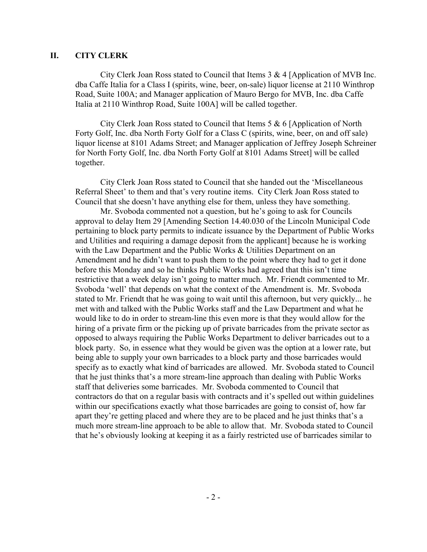## **II. CITY CLERK**

City Clerk Joan Ross stated to Council that Items  $3 \& 4$  [Application of MVB Inc. dba Caffe Italia for a Class I (spirits, wine, beer, on-sale) liquor license at 2110 Winthrop Road, Suite 100A; and Manager application of Mauro Bergo for MVB, Inc. dba Caffe Italia at 2110 Winthrop Road, Suite 100A] will be called together.

City Clerk Joan Ross stated to Council that Items 5 & 6 [Application of North Forty Golf, Inc. dba North Forty Golf for a Class C (spirits, wine, beer, on and off sale) liquor license at 8101 Adams Street; and Manager application of Jeffrey Joseph Schreiner for North Forty Golf, Inc. dba North Forty Golf at 8101 Adams Street] will be called together.

City Clerk Joan Ross stated to Council that she handed out the 'Miscellaneous Referral Sheet' to them and that's very routine items. City Clerk Joan Ross stated to Council that she doesn't have anything else for them, unless they have something.

Mr. Svoboda commented not a question, but he's going to ask for Councils approval to delay Item 29 [Amending Section 14.40.030 of the Lincoln Municipal Code pertaining to block party permits to indicate issuance by the Department of Public Works and Utilities and requiring a damage deposit from the applicant] because he is working with the Law Department and the Public Works & Utilities Department on an Amendment and he didn't want to push them to the point where they had to get it done before this Monday and so he thinks Public Works had agreed that this isn't time restrictive that a week delay isn't going to matter much. Mr. Friendt commented to Mr. Svoboda 'well' that depends on what the context of the Amendment is. Mr. Svoboda stated to Mr. Friendt that he was going to wait until this afternoon, but very quickly... he met with and talked with the Public Works staff and the Law Department and what he would like to do in order to stream-line this even more is that they would allow for the hiring of a private firm or the picking up of private barricades from the private sector as opposed to always requiring the Public Works Department to deliver barricades out to a block party. So, in essence what they would be given was the option at a lower rate, but being able to supply your own barricades to a block party and those barricades would specify as to exactly what kind of barricades are allowed. Mr. Svoboda stated to Council that he just thinks that's a more stream-line approach than dealing with Public Works staff that deliveries some barricades. Mr. Svoboda commented to Council that contractors do that on a regular basis with contracts and it's spelled out within guidelines within our specifications exactly what those barricades are going to consist of, how far apart they're getting placed and where they are to be placed and he just thinks that's a much more stream-line approach to be able to allow that. Mr. Svoboda stated to Council that he's obviously looking at keeping it as a fairly restricted use of barricades similar to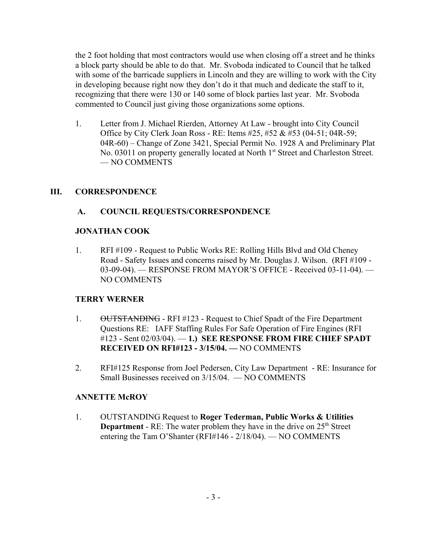the 2 foot holding that most contractors would use when closing off a street and he thinks a block party should be able to do that. Mr. Svoboda indicated to Council that he talked with some of the barricade suppliers in Lincoln and they are willing to work with the City in developing because right now they don't do it that much and dedicate the staff to it, recognizing that there were 130 or 140 some of block parties last year. Mr. Svoboda commented to Council just giving those organizations some options.

 1. Letter from J. Michael Rierden, Attorney At Law - brought into City Council Office by City Clerk Joan Ross - RE: Items #25, #52 & #53 (04-51; 04R-59; 04R-60) – Change of Zone 3421, Special Permit No. 1928 A and Preliminary Plat No. 03011 on property generally located at North 1<sup>st</sup> Street and Charleston Street. — NO COMMENTS

# **III. CORRESPONDENCE**

# **A. COUNCIL REQUESTS/CORRESPONDENCE**

# **JONATHAN COOK**

1. RFI #109 - Request to Public Works RE: Rolling Hills Blvd and Old Cheney Road - Safety Issues and concerns raised by Mr. Douglas J. Wilson. (RFI #109 - 03-09-04). — RESPONSE FROM MAYOR'S OFFICE - Received 03-11-04). — NO COMMENTS

# **TERRY WERNER**

- 1. OUTSTANDING RFI #123 Request to Chief Spadt of the Fire Department Questions RE: IAFF Staffing Rules For Safe Operation of Fire Engines (RFI #123 - Sent 02/03/04). — **1.) SEE RESPONSE FROM FIRE CHIEF SPADT RECEIVED ON RFI#123 - 3/15/04. —** NO COMMENTS
- 2. RFI#125 Response from Joel Pedersen, City Law Department RE: Insurance for Small Businesses received on 3/15/04. — NO COMMENTS

# **ANNETTE McROY**

1. OUTSTANDING Request to **Roger Tederman, Public Works & Utilities Department** - RE: The water problem they have in the drive on 25<sup>th</sup> Street entering the Tam O'Shanter (RFI#146 - 2/18/04). — NO COMMENTS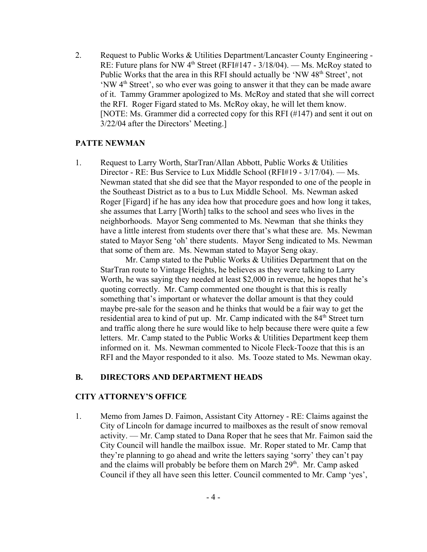2. Request to Public Works & Utilities Department/Lancaster County Engineering - RE: Future plans for NW  $4<sup>th</sup>$  Street (RFI#147 - 3/18/04). — Ms. McRoy stated to Public Works that the area in this RFI should actually be 'NW 48<sup>th</sup> Street', not 'NW 4<sup>th</sup> Street', so who ever was going to answer it that they can be made aware of it. Tammy Grammer apologized to Ms. McRoy and stated that she will correct the RFI. Roger Figard stated to Ms. McRoy okay, he will let them know. [NOTE: Ms. Grammer did a corrected copy for this RFI (#147) and sent it out on 3/22/04 after the Directors' Meeting.]

## **PATTE NEWMAN**

1. Request to Larry Worth, StarTran/Allan Abbott, Public Works & Utilities Director - RE: Bus Service to Lux Middle School (RFI#19 - 3/17/04). — Ms. Newman stated that she did see that the Mayor responded to one of the people in the Southeast District as to a bus to Lux Middle School. Ms. Newman asked Roger [Figard] if he has any idea how that procedure goes and how long it takes, she assumes that Larry [Worth] talks to the school and sees who lives in the neighborhoods. Mayor Seng commented to Ms. Newman that she thinks they have a little interest from students over there that's what these are. Ms. Newman stated to Mayor Seng 'oh' there students. Mayor Seng indicated to Ms. Newman that some of them are. Ms. Newman stated to Mayor Seng okay.

Mr. Camp stated to the Public Works & Utilities Department that on the StarTran route to Vintage Heights, he believes as they were talking to Larry Worth, he was saying they needed at least \$2,000 in revenue, he hopes that he's quoting correctly. Mr. Camp commented one thought is that this is really something that's important or whatever the dollar amount is that they could maybe pre-sale for the season and he thinks that would be a fair way to get the residential area to kind of put up. Mr. Camp indicated with the 84<sup>th</sup> Street turn and traffic along there he sure would like to help because there were quite a few letters. Mr. Camp stated to the Public Works & Utilities Department keep them informed on it. Ms. Newman commented to Nicole Fleck-Tooze that this is an RFI and the Mayor responded to it also. Ms. Tooze stated to Ms. Newman okay.

#### **B. DIRECTORS AND DEPARTMENT HEADS**

#### **CITY ATTORNEY'S OFFICE**

1. Memo from James D. Faimon, Assistant City Attorney - RE: Claims against the City of Lincoln for damage incurred to mailboxes as the result of snow removal activity. — Mr. Camp stated to Dana Roper that he sees that Mr. Faimon said the City Council will handle the mailbox issue. Mr. Roper stated to Mr. Camp that they're planning to go ahead and write the letters saying 'sorry' they can't pay and the claims will probably be before them on March  $29<sup>th</sup>$ . Mr. Camp asked Council if they all have seen this letter. Council commented to Mr. Camp 'yes',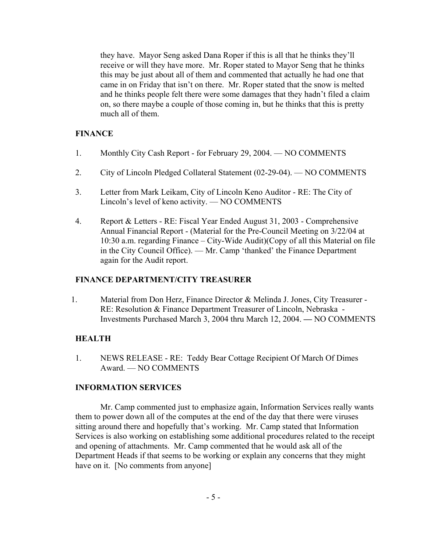they have. Mayor Seng asked Dana Roper if this is all that he thinks they'll receive or will they have more. Mr. Roper stated to Mayor Seng that he thinks this may be just about all of them and commented that actually he had one that came in on Friday that isn't on there. Mr. Roper stated that the snow is melted and he thinks people felt there were some damages that they hadn't filed a claim on, so there maybe a couple of those coming in, but he thinks that this is pretty much all of them.

# **FINANCE**

- 1. Monthly City Cash Report for February 29, 2004. NO COMMENTS
- 2. City of Lincoln Pledged Collateral Statement (02-29-04). NO COMMENTS
- 3. Letter from Mark Leikam, City of Lincoln Keno Auditor RE: The City of Lincoln's level of keno activity. — NO COMMENTS
- 4. Report & Letters RE: Fiscal Year Ended August 31, 2003 Comprehensive Annual Financial Report - (Material for the Pre-Council Meeting on 3/22/04 at 10:30 a.m. regarding Finance – City-Wide Audit)(Copy of all this Material on file in the City Council Office). — Mr. Camp 'thanked' the Finance Department again for the Audit report.

# **FINANCE DEPARTMENT/CITY TREASURER**

1. Material from Don Herz, Finance Director & Melinda J. Jones, City Treasurer - RE: Resolution & Finance Department Treasurer of Lincoln, Nebraska - Investments Purchased March 3, 2004 thru March 12, 2004. **—** NO COMMENTS

# **HEALTH**

1. NEWS RELEASE - RE: Teddy Bear Cottage Recipient Of March Of Dimes Award. — NO COMMENTS

# **INFORMATION SERVICES**

Mr. Camp commented just to emphasize again, Information Services really wants them to power down all of the computes at the end of the day that there were viruses sitting around there and hopefully that's working. Mr. Camp stated that Information Services is also working on establishing some additional procedures related to the receipt and opening of attachments. Mr. Camp commented that he would ask all of the Department Heads if that seems to be working or explain any concerns that they might have on it. [No comments from anyone]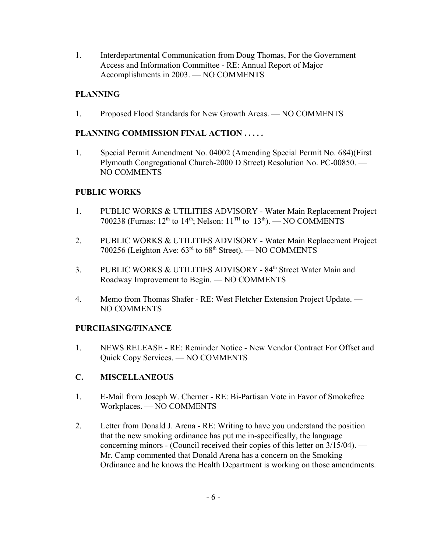1. Interdepartmental Communication from Doug Thomas, For the Government Access and Information Committee - RE: Annual Report of Major Accomplishments in 2003. — NO COMMENTS

# **PLANNING**

1. Proposed Flood Standards for New Growth Areas. — NO COMMENTS

# **PLANNING COMMISSION FINAL ACTION . . . . .**

1. Special Permit Amendment No. 04002 (Amending Special Permit No. 684)(First Plymouth Congregational Church-2000 D Street) Resolution No. PC-00850. — NO COMMENTS

# **PUBLIC WORKS**

- 1. PUBLIC WORKS & UTILITIES ADVISORY Water Main Replacement Project 700238 (Furnas:  $12<sup>th</sup>$  to  $14<sup>th</sup>$ ; Nelson:  $11<sup>TH</sup>$  to  $13<sup>th</sup>$ ). — NO COMMENTS
- 2. PUBLIC WORKS & UTILITIES ADVISORY Water Main Replacement Project 700256 (Leighton Ave: 63rd to 68th Street). — NO COMMENTS
- 3. PUBLIC WORKS & UTILITIES ADVISORY 84<sup>th</sup> Street Water Main and Roadway Improvement to Begin. — NO COMMENTS
- 4. Memo from Thomas Shafer RE: West Fletcher Extension Project Update. NO COMMENTS

# **PURCHASING/FINANCE**

1. NEWS RELEASE - RE: Reminder Notice - New Vendor Contract For Offset and Quick Copy Services. — NO COMMENTS

# **C. MISCELLANEOUS**

- 1. E-Mail from Joseph W. Cherner RE: Bi-Partisan Vote in Favor of Smokefree Workplaces. — NO COMMENTS
- 2. Letter from Donald J. Arena RE: Writing to have you understand the position that the new smoking ordinance has put me in-specifically, the language concerning minors - (Council received their copies of this letter on 3/15/04). — Mr. Camp commented that Donald Arena has a concern on the Smoking Ordinance and he knows the Health Department is working on those amendments.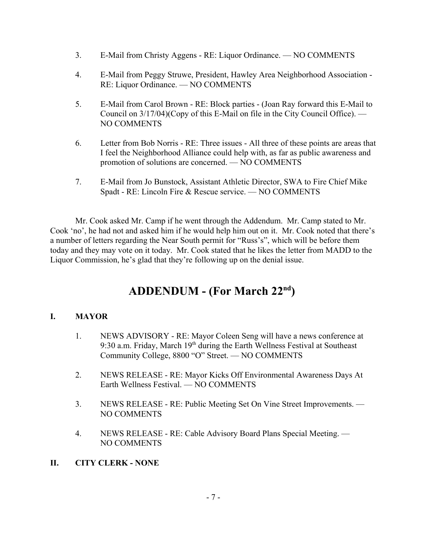- 3. E-Mail from Christy Aggens RE: Liquor Ordinance. NO COMMENTS
- 4. E-Mail from Peggy Struwe, President, Hawley Area Neighborhood Association RE: Liquor Ordinance. — NO COMMENTS
- 5. E-Mail from Carol Brown RE: Block parties (Joan Ray forward this E-Mail to Council on 3/17/04)(Copy of this E-Mail on file in the City Council Office). — NO COMMENTS
- 6. Letter from Bob Norris RE: Three issues All three of these points are areas that I feel the Neighborhood Alliance could help with, as far as public awareness and promotion of solutions are concerned. — NO COMMENTS
- 7. E-Mail from Jo Bunstock, Assistant Athletic Director, SWA to Fire Chief Mike Spadt - RE: Lincoln Fire & Rescue service. — NO COMMENTS

Mr. Cook asked Mr. Camp if he went through the Addendum. Mr. Camp stated to Mr. Cook 'no', he had not and asked him if he would help him out on it. Mr. Cook noted that there's a number of letters regarding the Near South permit for "Russ's", which will be before them today and they may vote on it today. Mr. Cook stated that he likes the letter from MADD to the Liquor Commission, he's glad that they're following up on the denial issue.

# **ADDENDUM - (For March 22nd)**

# **I. MAYOR**

- 1. NEWS ADVISORY RE: Mayor Coleen Seng will have a news conference at 9:30 a.m. Friday, March 19<sup>th</sup> during the Earth Wellness Festival at Southeast Community College, 8800 "O" Street. — NO COMMENTS
- 2. NEWS RELEASE RE: Mayor Kicks Off Environmental Awareness Days At Earth Wellness Festival. — NO COMMENTS
- 3. NEWS RELEASE RE: Public Meeting Set On Vine Street Improvements. NO COMMENTS
- 4. NEWS RELEASE RE: Cable Advisory Board Plans Special Meeting. NO COMMENTS
- **II. CITY CLERK NONE**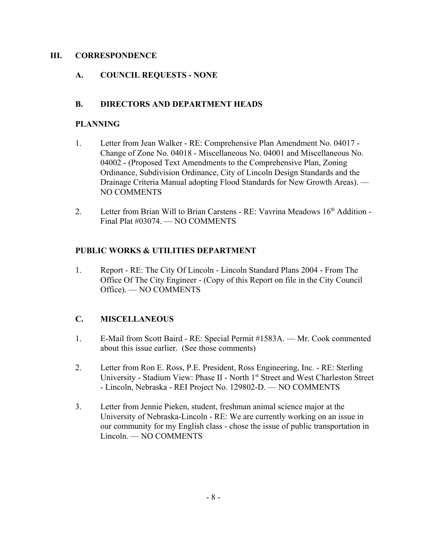## **III. CORRESPONDENCE**

# **A. COUNCIL REQUESTS - NONE**

# **B. DIRECTORS AND DEPARTMENT HEADS**

# **PLANNING**

- 1. Letter from Jean Walker RE: Comprehensive Plan Amendment No. 04017 Change of Zone No. 04018 - Miscellaneous No. 04001 and Miscellaneous No. 04002 - (Proposed Text Amendments to the Comprehensive Plan, Zoning Ordinance, Subdivision Ordinance, City of Lincoln Design Standards and the Drainage Criteria Manual adopting Flood Standards for New Growth Areas). — NO COMMENTS
- 2. Letter from Brian Will to Brian Carstens RE: Vavrina Meadows 16<sup>th</sup> Addition -Final Plat #03074. — NO COMMENTS

# **PUBLIC WORKS & UTILITIES DEPARTMENT**

1. Report - RE: The City Of Lincoln - Lincoln Standard Plans 2004 - From The Office Of The City Engineer - (Copy of this Report on file in the City Council Office). — NO COMMENTS

# **C. MISCELLANEOUS**

- 1. E-Mail from Scott Baird RE: Special Permit #1583A. Mr. Cook commented about this issue earlier. (See those comments)
- 2. Letter from Ron E. Ross, P.E. President, Ross Engineering, Inc. RE: Sterling University - Stadium View: Phase II - North 1<sup>st</sup> Street and West Charleston Street - Lincoln, Nebraska - REI Project No. 129802-D. — NO COMMENTS
- 3. Letter from Jennie Pieken, student, freshman animal science major at the University of Nebraska-Lincoln - RE: We are currently working on an issue in our community for my English class - chose the issue of public transportation in Lincoln. — NO COMMENTS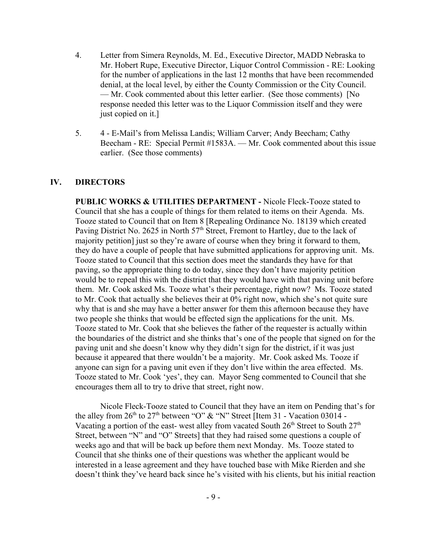- 4. Letter from Simera Reynolds, M. Ed., Executive Director, MADD Nebraska to Mr. Hobert Rupe, Executive Director, Liquor Control Commission - RE: Looking for the number of applications in the last 12 months that have been recommended denial, at the local level, by either the County Commission or the City Council. — Mr. Cook commented about this letter earlier. (See those comments) [No response needed this letter was to the Liquor Commission itself and they were just copied on it.]
- 5. 4 E-Mail's from Melissa Landis; William Carver; Andy Beecham; Cathy Beecham - RE: Special Permit #1583A. — Mr. Cook commented about this issue earlier. (See those comments)

#### **IV. DIRECTORS**

**PUBLIC WORKS & UTILITIES DEPARTMENT -** Nicole Fleck-Tooze stated to Council that she has a couple of things for them related to items on their Agenda. Ms. Tooze stated to Council that on Item 8 [Repealing Ordinance No. 18139 which created Paving District No. 2625 in North  $57<sup>th</sup>$  Street, Fremont to Hartley, due to the lack of majority petition] just so they're aware of course when they bring it forward to them, they do have a couple of people that have submitted applications for approving unit. Ms. Tooze stated to Council that this section does meet the standards they have for that paving, so the appropriate thing to do today, since they don't have majority petition would be to repeal this with the district that they would have with that paving unit before them. Mr. Cook asked Ms. Tooze what's their percentage, right now? Ms. Tooze stated to Mr. Cook that actually she believes their at 0% right now, which she's not quite sure why that is and she may have a better answer for them this afternoon because they have two people she thinks that would be effected sign the applications for the unit. Ms. Tooze stated to Mr. Cook that she believes the father of the requester is actually within the boundaries of the district and she thinks that's one of the people that signed on for the paving unit and she doesn't know why they didn't sign for the district, if it was just because it appeared that there wouldn't be a majority. Mr. Cook asked Ms. Tooze if anyone can sign for a paving unit even if they don't live within the area effected. Ms. Tooze stated to Mr. Cook 'yes', they can. Mayor Seng commented to Council that she encourages them all to try to drive that street, right now.

Nicole Fleck-Tooze stated to Council that they have an item on Pending that's for the alley from  $26<sup>th</sup>$  to  $27<sup>th</sup>$  between "O" & "N" Street [Item 31 - Vacation 03014 -Vacating a portion of the east- west alley from vacated South  $26<sup>th</sup>$  Street to South  $27<sup>th</sup>$ Street, between "N" and "O" Streets] that they had raised some questions a couple of weeks ago and that will be back up before them next Monday. Ms. Tooze stated to Council that she thinks one of their questions was whether the applicant would be interested in a lease agreement and they have touched base with Mike Rierden and she doesn't think they've heard back since he's visited with his clients, but his initial reaction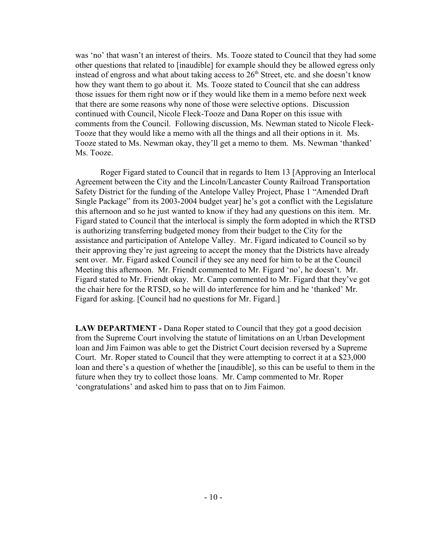was 'no' that wasn't an interest of theirs. Ms. Tooze stated to Council that they had some other questions that related to [inaudible] for example should they be allowed egress only instead of engross and what about taking access to  $26<sup>th</sup>$  Street, etc. and she doesn't know how they want them to go about it. Ms. Tooze stated to Council that she can address those issues for them right now or if they would like them in a memo before next week that there are some reasons why none of those were selective options. Discussion continued with Council, Nicole Fleck-Tooze and Dana Roper on this issue with comments from the Council. Following discussion, Ms. Newman stated to Nicole Fleck-Tooze that they would like a memo with all the things and all their options in it. Ms. Tooze stated to Ms. Newman okay, they'll get a memo to them. Ms. Newman 'thanked' Ms. Tooze.

Roger Figard stated to Council that in regards to Item 13 [Approving an Interlocal Agreement between the City and the Lincoln/Lancaster County Railroad Transportation Safety District for the funding of the Antelope Valley Project, Phase 1 "Amended Draft Single Package" from its 2003-2004 budget year] he's got a conflict with the Legislature this afternoon and so he just wanted to know if they had any questions on this item. Mr. Figard stated to Council that the interlocal is simply the form adopted in which the RTSD is authorizing transferring budgeted money from their budget to the City for the assistance and participation of Antelope Valley. Mr. Figard indicated to Council so by their approving they're just agreeing to accept the money that the Districts have already sent over. Mr. Figard asked Council if they see any need for him to be at the Council Meeting this afternoon. Mr. Friendt commented to Mr. Figard 'no', he doesn't. Mr. Figard stated to Mr. Friendt okay. Mr. Camp commented to Mr. Figard that they've got the chair here for the RTSD, so he will do interference for him and he 'thanked' Mr. Figard for asking. [Council had no questions for Mr. Figard.]

**LAW DEPARTMENT - Dana Roper stated to Council that they got a good decision** from the Supreme Court involving the statute of limitations on an Urban Development loan and Jim Faimon was able to get the District Court decision reversed by a Supreme Court. Mr. Roper stated to Council that they were attempting to correct it at a \$23,000 loan and there's a question of whether the [inaudible], so this can be useful to them in the future when they try to collect those loans. Mr. Camp commented to Mr. Roper 'congratulations' and asked him to pass that on to Jim Faimon.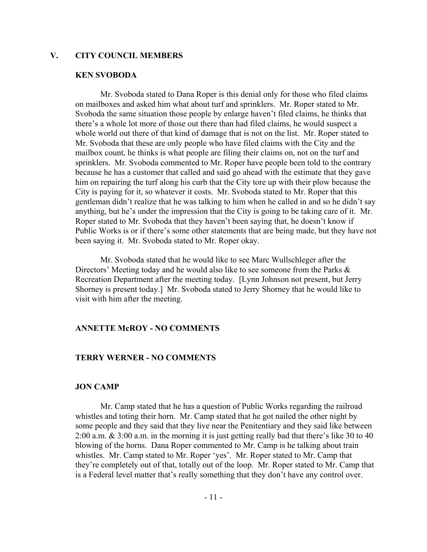#### **V. CITY COUNCIL MEMBERS**

#### **KEN SVOBODA**

Mr. Svoboda stated to Dana Roper is this denial only for those who filed claims on mailboxes and asked him what about turf and sprinklers. Mr. Roper stated to Mr. Svoboda the same situation those people by enlarge haven't filed claims, he thinks that there's a whole lot more of those out there than had filed claims, he would suspect a whole world out there of that kind of damage that is not on the list. Mr. Roper stated to Mr. Svoboda that these are only people who have filed claims with the City and the mailbox count, he thinks is what people are filing their claims on, not on the turf and sprinklers. Mr. Svoboda commented to Mr. Roper have people been told to the contrary because he has a customer that called and said go ahead with the estimate that they gave him on repairing the turf along his curb that the City tore up with their plow because the City is paying for it, so whatever it costs. Mr. Svoboda stated to Mr. Roper that this gentleman didn't realize that he was talking to him when he called in and so he didn't say anything, but he's under the impression that the City is going to be taking care of it. Mr. Roper stated to Mr. Svoboda that they haven't been saying that, he doesn't know if Public Works is or if there's some other statements that are being made, but they have not been saying it. Mr. Svoboda stated to Mr. Roper okay.

Mr. Svoboda stated that he would like to see Marc Wullschleger after the Directors' Meeting today and he would also like to see someone from the Parks  $\&$ Recreation Department after the meeting today. [Lynn Johnson not present, but Jerry Shorney is present today.] Mr. Svoboda stated to Jerry Shorney that he would like to visit with him after the meeting.

#### **ANNETTE McROY - NO COMMENTS**

#### **TERRY WERNER - NO COMMENTS**

#### **JON CAMP**

Mr. Camp stated that he has a question of Public Works regarding the railroad whistles and toting their horn. Mr. Camp stated that he got nailed the other night by some people and they said that they live near the Penitentiary and they said like between 2:00 a.m. & 3:00 a.m. in the morning it is just getting really bad that there's like 30 to 40 blowing of the horns. Dana Roper commented to Mr. Camp is he talking about train whistles. Mr. Camp stated to Mr. Roper 'yes'. Mr. Roper stated to Mr. Camp that they're completely out of that, totally out of the loop. Mr. Roper stated to Mr. Camp that is a Federal level matter that's really something that they don't have any control over.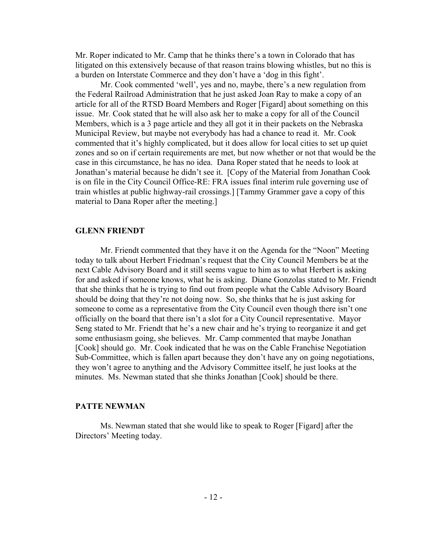Mr. Roper indicated to Mr. Camp that he thinks there's a town in Colorado that has litigated on this extensively because of that reason trains blowing whistles, but no this is a burden on Interstate Commerce and they don't have a 'dog in this fight'.

Mr. Cook commented 'well', yes and no, maybe, there's a new regulation from the Federal Railroad Administration that he just asked Joan Ray to make a copy of an article for all of the RTSD Board Members and Roger [Figard] about something on this issue. Mr. Cook stated that he will also ask her to make a copy for all of the Council Members, which is a 3 page article and they all got it in their packets on the Nebraska Municipal Review, but maybe not everybody has had a chance to read it. Mr. Cook commented that it's highly complicated, but it does allow for local cities to set up quiet zones and so on if certain requirements are met, but now whether or not that would be the case in this circumstance, he has no idea. Dana Roper stated that he needs to look at Jonathan's material because he didn't see it. [Copy of the Material from Jonathan Cook is on file in the City Council Office-RE: FRA issues final interim rule governing use of train whistles at public highway-rail crossings.] [Tammy Grammer gave a copy of this material to Dana Roper after the meeting.]

#### **GLENN FRIENDT**

Mr. Friendt commented that they have it on the Agenda for the "Noon" Meeting today to talk about Herbert Friedman's request that the City Council Members be at the next Cable Advisory Board and it still seems vague to him as to what Herbert is asking for and asked if someone knows, what he is asking. Diane Gonzolas stated to Mr. Friendt that she thinks that he is trying to find out from people what the Cable Advisory Board should be doing that they're not doing now. So, she thinks that he is just asking for someone to come as a representative from the City Council even though there isn't one officially on the board that there isn't a slot for a City Council representative. Mayor Seng stated to Mr. Friendt that he's a new chair and he's trying to reorganize it and get some enthusiasm going, she believes. Mr. Camp commented that maybe Jonathan [Cook] should go. Mr. Cook indicated that he was on the Cable Franchise Negotiation Sub-Committee, which is fallen apart because they don't have any on going negotiations, they won't agree to anything and the Advisory Committee itself, he just looks at the minutes. Ms. Newman stated that she thinks Jonathan [Cook] should be there.

#### **PATTE NEWMAN**

Ms. Newman stated that she would like to speak to Roger [Figard] after the Directors' Meeting today.